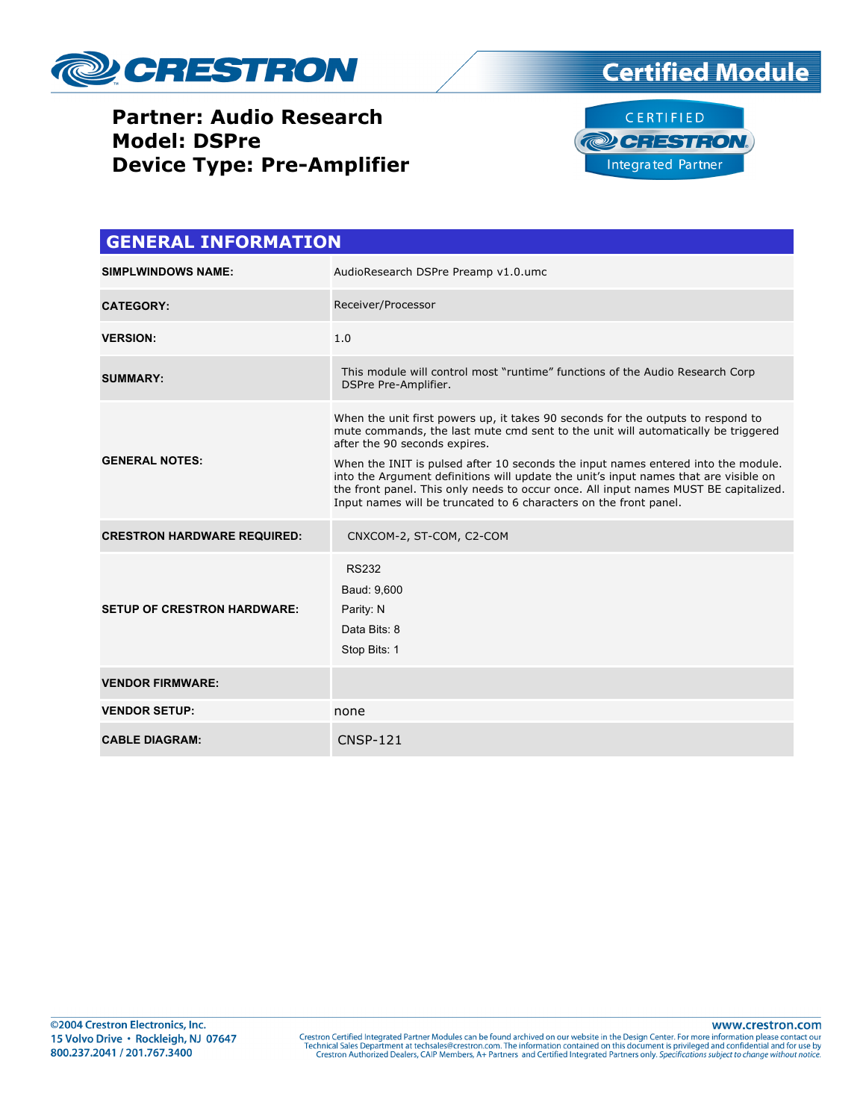





| <b>GENERAL INFORMATION</b>         |                                                                                                                                                                                                                                                                                                                                                                                                                                                                                                                                                  |  |  |  |
|------------------------------------|--------------------------------------------------------------------------------------------------------------------------------------------------------------------------------------------------------------------------------------------------------------------------------------------------------------------------------------------------------------------------------------------------------------------------------------------------------------------------------------------------------------------------------------------------|--|--|--|
| <b>SIMPLWINDOWS NAME:</b>          | AudioResearch DSPre Preamp v1.0.umc                                                                                                                                                                                                                                                                                                                                                                                                                                                                                                              |  |  |  |
| <b>CATEGORY:</b>                   | Receiver/Processor                                                                                                                                                                                                                                                                                                                                                                                                                                                                                                                               |  |  |  |
| <b>VERSION:</b>                    | 1.0                                                                                                                                                                                                                                                                                                                                                                                                                                                                                                                                              |  |  |  |
| <b>SUMMARY:</b>                    | This module will control most "runtime" functions of the Audio Research Corp<br>DSPre Pre-Amplifier.                                                                                                                                                                                                                                                                                                                                                                                                                                             |  |  |  |
| <b>GENERAL NOTES:</b>              | When the unit first powers up, it takes 90 seconds for the outputs to respond to<br>mute commands, the last mute cmd sent to the unit will automatically be triggered<br>after the 90 seconds expires.<br>When the INIT is pulsed after 10 seconds the input names entered into the module.<br>into the Argument definitions will update the unit's input names that are visible on<br>the front panel. This only needs to occur once. All input names MUST BE capitalized.<br>Input names will be truncated to 6 characters on the front panel. |  |  |  |
| <b>CRESTRON HARDWARE REQUIRED:</b> | CNXCOM-2, ST-COM, C2-COM                                                                                                                                                                                                                                                                                                                                                                                                                                                                                                                         |  |  |  |
| <b>SETUP OF CRESTRON HARDWARE:</b> | <b>RS232</b><br>Baud: 9,600<br>Parity: N<br>Data Bits: 8<br>Stop Bits: 1                                                                                                                                                                                                                                                                                                                                                                                                                                                                         |  |  |  |
| <b>VENDOR FIRMWARE:</b>            |                                                                                                                                                                                                                                                                                                                                                                                                                                                                                                                                                  |  |  |  |
| <b>VENDOR SETUP:</b>               | none                                                                                                                                                                                                                                                                                                                                                                                                                                                                                                                                             |  |  |  |
| <b>CABLE DIAGRAM:</b>              | <b>CNSP-121</b>                                                                                                                                                                                                                                                                                                                                                                                                                                                                                                                                  |  |  |  |

www.crestron.com Crestron Certified Integrated Partner Modules can be found archived on our website in the Design Center. For more information please contact our Technical Sales Department at techsales@crestron.com. The information contain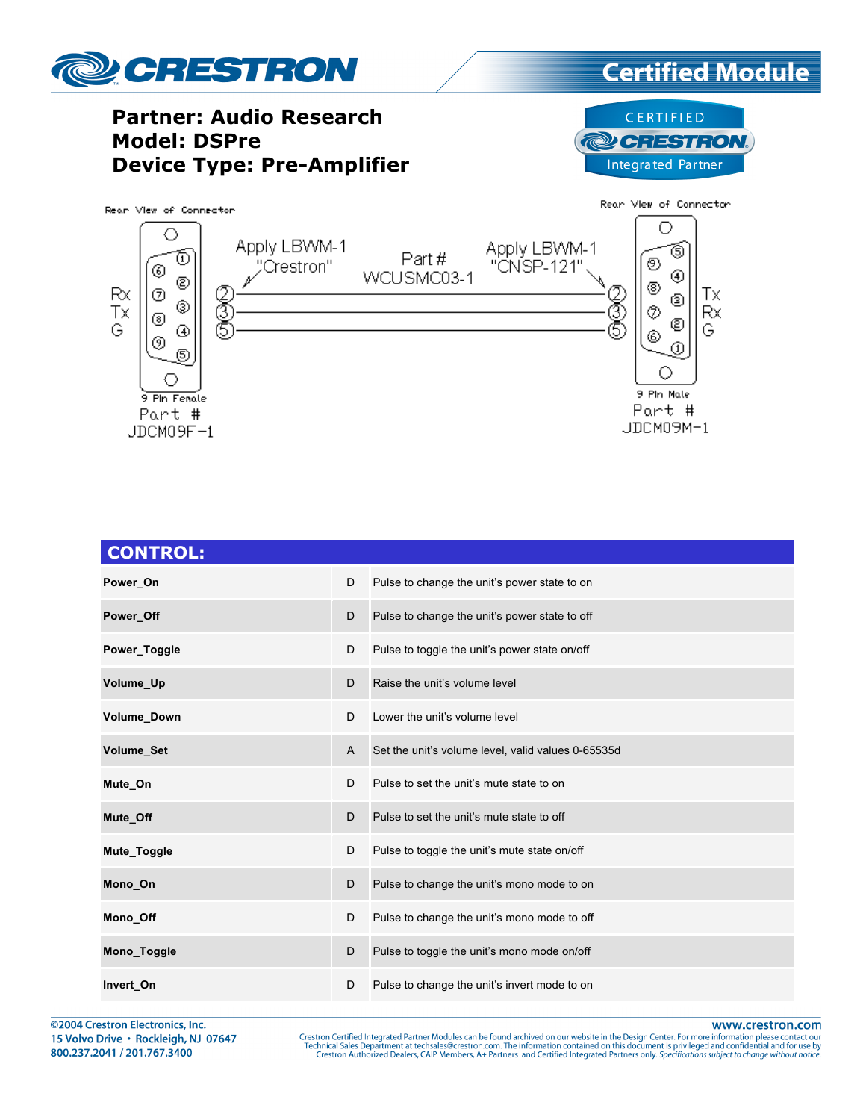

| <b>CONTROL:</b> |   |                                                    |
|-----------------|---|----------------------------------------------------|
| Power_On        | D | Pulse to change the unit's power state to on       |
| Power Off       | D | Pulse to change the unit's power state to off      |
| Power Toggle    | D | Pulse to toggle the unit's power state on/off      |
| Volume_Up       | D | Raise the unit's volume level                      |
| Volume_Down     | D | Lower the unit's volume level                      |
| Volume_Set      | A | Set the unit's volume level, valid values 0-65535d |
| Mute On         | D | Pulse to set the unit's mute state to on           |
| Mute Off        | D | Pulse to set the unit's mute state to off          |
| Mute_Toggle     | D | Pulse to toggle the unit's mute state on/off       |
| Mono On         | D | Pulse to change the unit's mono mode to on         |
| Mono_Off        | D | Pulse to change the unit's mono mode to off        |
| Mono_Toggle     | D | Pulse to toggle the unit's mono mode on/off        |
| Invert_On       | D | Pulse to change the unit's invert mode to on       |

@2004 Crestron Electronics, Inc. 15 Volvo Drive · Rockleigh, NJ 07647 800.237.2041 / 201.767.3400

www.crestron.com

Crestron Certified Integrated Partner Modules can be found archived on our website in the Design Center. For more information please contact our<br>Technical Sales Department at techsales@crestron.com. The information contain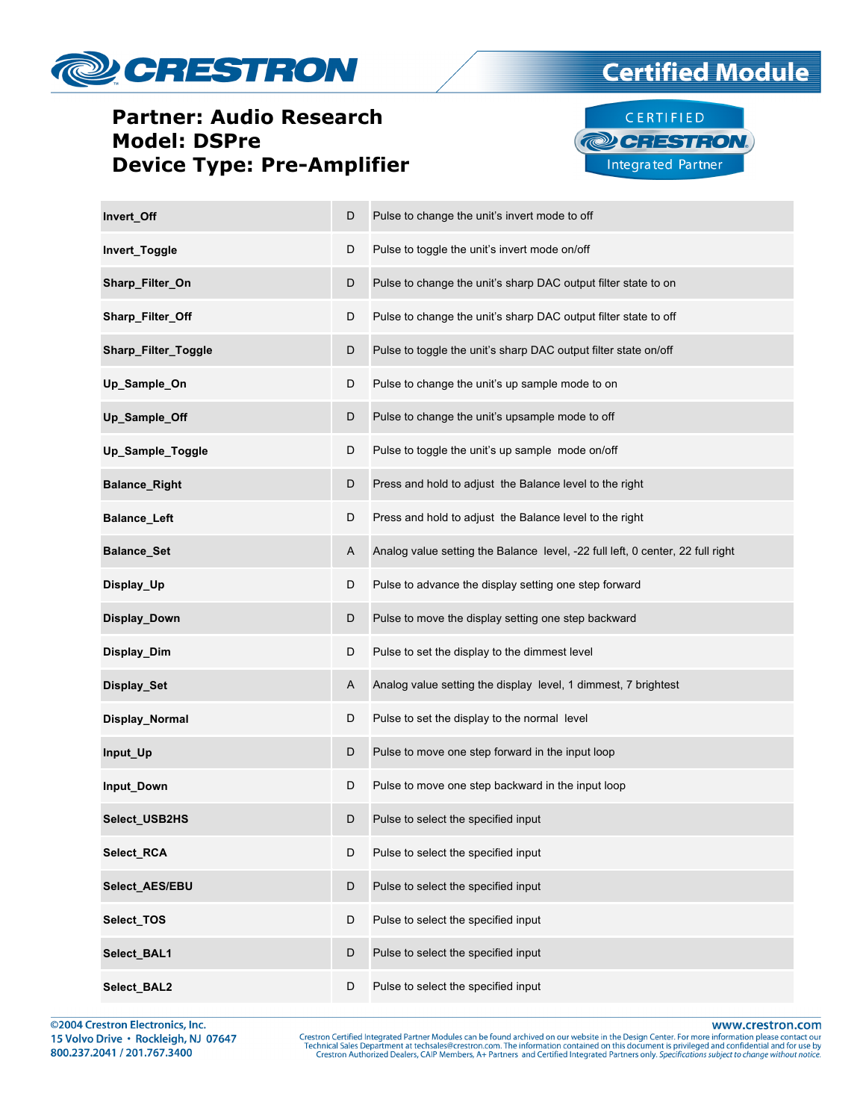



**Certified Module** 

| Invert_Off           | D | Pulse to change the unit's invert mode to off                                  |
|----------------------|---|--------------------------------------------------------------------------------|
| Invert_Toggle        | D | Pulse to toggle the unit's invert mode on/off                                  |
| Sharp_Filter_On      | D | Pulse to change the unit's sharp DAC output filter state to on                 |
| Sharp_Filter_Off     | D | Pulse to change the unit's sharp DAC output filter state to off                |
| Sharp_Filter_Toggle  | D | Pulse to toggle the unit's sharp DAC output filter state on/off                |
| Up_Sample_On         | D | Pulse to change the unit's up sample mode to on                                |
| Up_Sample_Off        | D | Pulse to change the unit's upsample mode to off                                |
| Up_Sample_Toggle     | D | Pulse to toggle the unit's up sample mode on/off                               |
| <b>Balance_Right</b> | D | Press and hold to adjust the Balance level to the right                        |
| <b>Balance_Left</b>  | D | Press and hold to adjust the Balance level to the right                        |
| <b>Balance_Set</b>   | A | Analog value setting the Balance level, -22 full left, 0 center, 22 full right |
| Display_Up           | D | Pulse to advance the display setting one step forward                          |
| Display_Down         | D | Pulse to move the display setting one step backward                            |
| Display_Dim          | D | Pulse to set the display to the dimmest level                                  |
| Display_Set          | A | Analog value setting the display level, 1 dimmest, 7 brightest                 |
| Display_Normal       | D | Pulse to set the display to the normal level                                   |
| Input_Up             | D | Pulse to move one step forward in the input loop                               |
| Input_Down           | D | Pulse to move one step backward in the input loop                              |
| Select_USB2HS        | D | Pulse to select the specified input                                            |
| <b>Select RCA</b>    | D | Pulse to select the specified input                                            |
| Select_AES/EBU       | D | Pulse to select the specified input                                            |
| Select_TOS           | D | Pulse to select the specified input                                            |
| Select_BAL1          | D | Pulse to select the specified input                                            |
| Select_BAL2          | D | Pulse to select the specified input                                            |

©2004 Crestron Electronics, Inc. 15 Volvo Drive · Rockleigh, NJ 07647 800.237.2041 / 201.767.3400

www.crestron.com

Crestron Certified Integrated Partner Modules can be found archived on our website in the Design Center. For more information please contact our Technical Sales Department at techsales@crestron.com. The information contain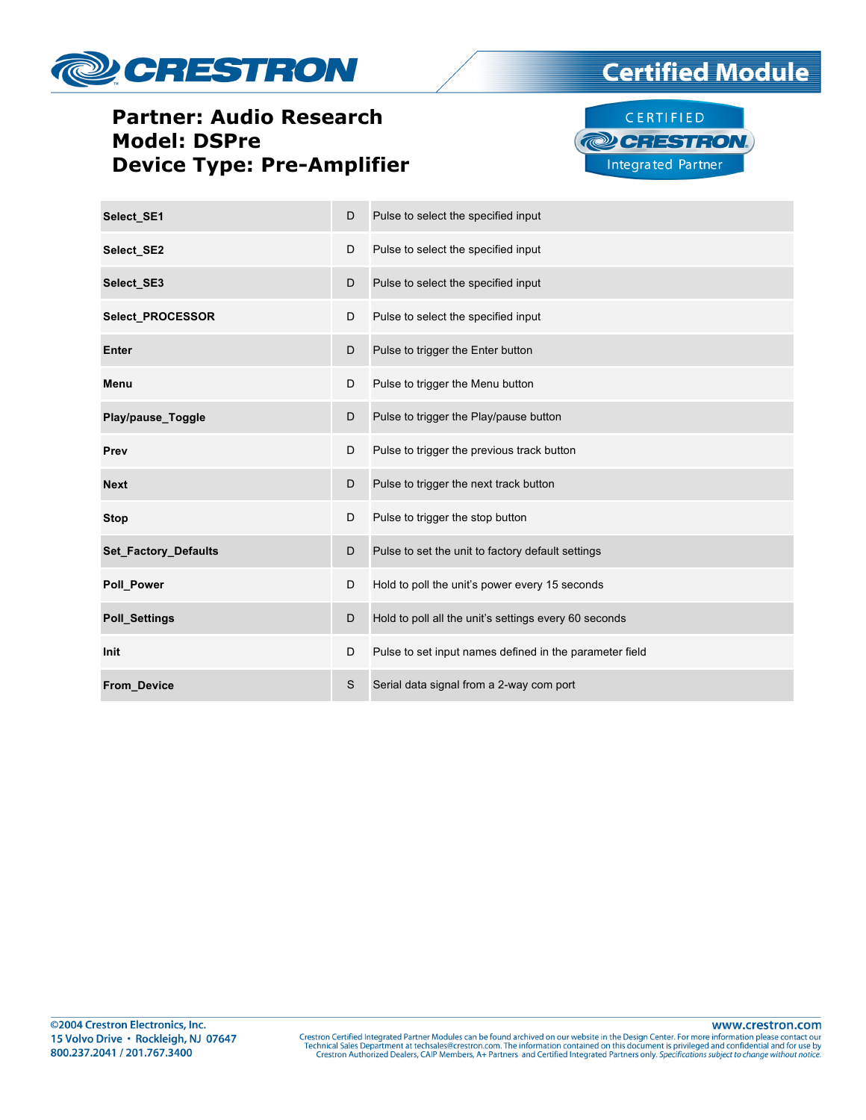



**Certified Module** 

| Select SE1                  | D | Pulse to select the specified input                     |
|-----------------------------|---|---------------------------------------------------------|
| Select SE2                  | D | Pulse to select the specified input                     |
| Select SE3                  | D | Pulse to select the specified input                     |
| <b>Select PROCESSOR</b>     | D | Pulse to select the specified input                     |
| Enter                       | D | Pulse to trigger the Enter button                       |
| Menu                        | D | Pulse to trigger the Menu button                        |
| Play/pause_Toggle           | D | Pulse to trigger the Play/pause button                  |
| Prev                        | D | Pulse to trigger the previous track button              |
| <b>Next</b>                 | D | Pulse to trigger the next track button                  |
| <b>Stop</b>                 | D | Pulse to trigger the stop button                        |
| <b>Set_Factory_Defaults</b> | D | Pulse to set the unit to factory default settings       |
| <b>Poll Power</b>           | D | Hold to poll the unit's power every 15 seconds          |
| <b>Poll_Settings</b>        | D | Hold to poll all the unit's settings every 60 seconds   |
| <b>Init</b>                 | D | Pulse to set input names defined in the parameter field |
| <b>From Device</b>          | S | Serial data signal from a 2-way com port                |

www.crestron.com Crestron Certified Integrated Partner Modules can be found archived on our website in the Design Center. For more information please contact our Technical Sales Department at techsales@crestron.com. The information contain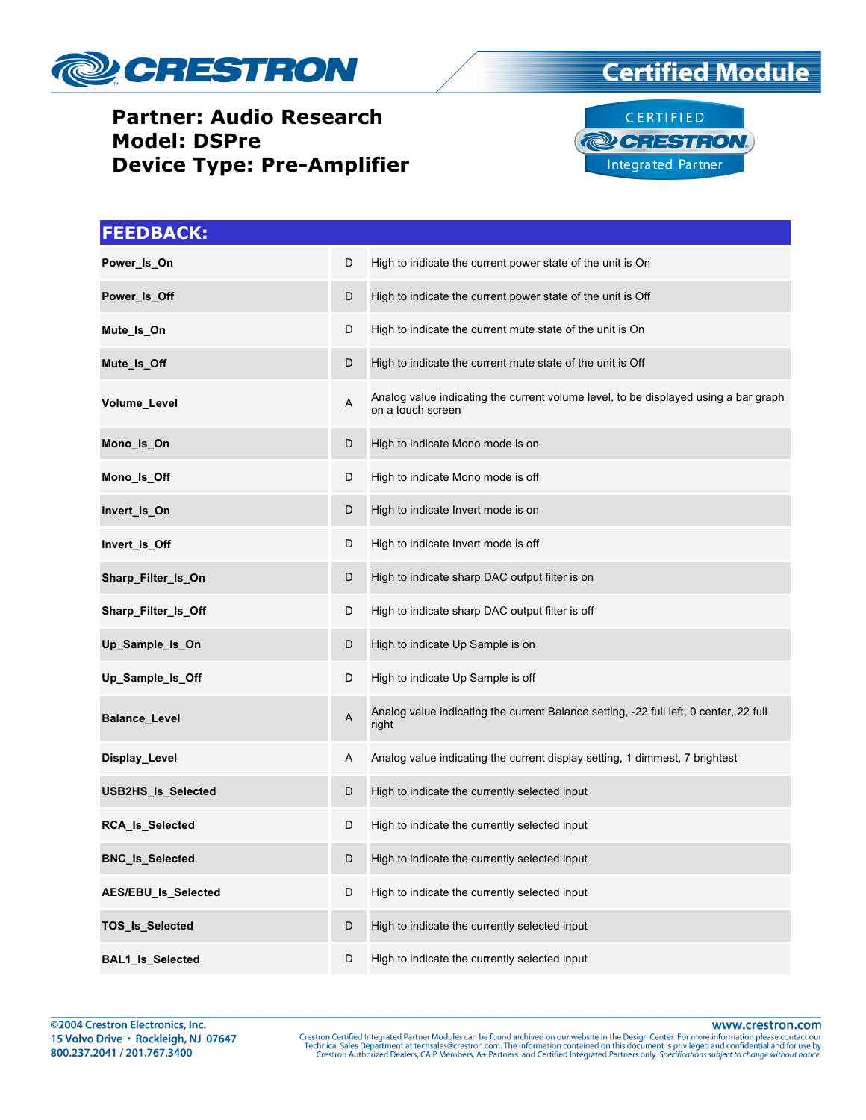





| <b>FEEDBACK:</b>        |             |                                                                                                          |
|-------------------------|-------------|----------------------------------------------------------------------------------------------------------|
| Power_Is_On             | D           | High to indicate the current power state of the unit is On                                               |
| Power_Is_Off            | D           | High to indicate the current power state of the unit is Off                                              |
| Mute_Is_On              | D           | High to indicate the current mute state of the unit is On                                                |
| Mute_Is_Off             | D           | High to indicate the current mute state of the unit is Off                                               |
| Volume_Level            | Α           | Analog value indicating the current volume level, to be displayed using a bar graph<br>on a touch screen |
| Mono_Is_On              | D           | High to indicate Mono mode is on                                                                         |
| Mono_Is_Off             | D           | High to indicate Mono mode is off                                                                        |
| Invert_Is_On            | D           | High to indicate Invert mode is on                                                                       |
| Invert_Is_Off           | D           | High to indicate Invert mode is off                                                                      |
| Sharp_Filter_Is_On      | D           | High to indicate sharp DAC output filter is on                                                           |
| Sharp_Filter_Is_Off     | D           | High to indicate sharp DAC output filter is off                                                          |
| Up_Sample_Is_On         | D           | High to indicate Up Sample is on                                                                         |
| Up_Sample_Is_Off        | D           | High to indicate Up Sample is off                                                                        |
| <b>Balance_Level</b>    | $\mathsf A$ | Analog value indicating the current Balance setting, -22 full left, 0 center, 22 full<br>right           |
| Display_Level           | A           | Analog value indicating the current display setting, 1 dimmest, 7 brightest                              |
| USB2HS_Is_Selected      | D           | High to indicate the currently selected input                                                            |
| RCA_Is_Selected         | D           | High to indicate the currently selected input                                                            |
| <b>BNC_Is_Selected</b>  | D           | High to indicate the currently selected input                                                            |
| AES/EBU_Is_Selected     | D           | High to indicate the currently selected input                                                            |
| TOS_Is_Selected         | D           | High to indicate the currently selected input                                                            |
| <b>BAL1_Is_Selected</b> | D           | High to indicate the currently selected input                                                            |

www.crestron.com

Crestron Certified Integrated Partner Modules can be found archived on our website in the Design Center. For more information please contact our Technical Sales Department at techsales@crestron.com. The information contain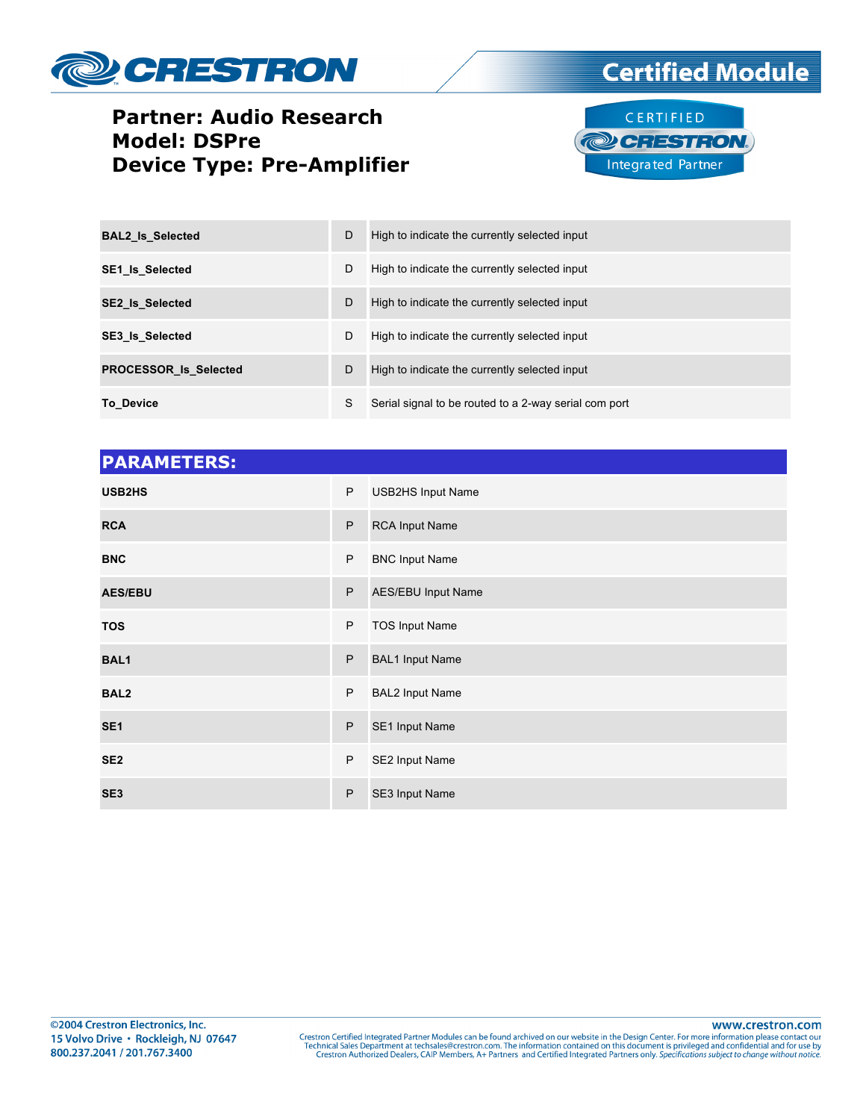



**Certified Module** 

| <b>BAL2 Is Selected</b>      | D | High to indicate the currently selected input         |
|------------------------------|---|-------------------------------------------------------|
| <b>SE1 Is Selected</b>       | D | High to indicate the currently selected input         |
| <b>SE2 Is Selected</b>       | D | High to indicate the currently selected input         |
| <b>SE3 Is Selected</b>       | D | High to indicate the currently selected input         |
| <b>PROCESSOR Is Selected</b> | D | High to indicate the currently selected input         |
| To Device                    | S | Serial signal to be routed to a 2-way serial com port |

| <b>PARAMETERS:</b> |   |                           |
|--------------------|---|---------------------------|
| USB2HS             | P | USB2HS Input Name         |
| <b>RCA</b>         | P | <b>RCA Input Name</b>     |
| <b>BNC</b>         | P | <b>BNC Input Name</b>     |
| <b>AES/EBU</b>     | P | <b>AES/EBU Input Name</b> |
| <b>TOS</b>         | P | <b>TOS Input Name</b>     |
| <b>BAL1</b>        | P | <b>BAL1 Input Name</b>    |
| BAL <sub>2</sub>   | P | <b>BAL2 Input Name</b>    |
| SE <sub>1</sub>    | P | SE1 Input Name            |
| SE <sub>2</sub>    | P | SE2 Input Name            |
| SE <sub>3</sub>    | P | SE3 Input Name            |

www.crestron.com

Crestron Certified Integrated Partner Modules can be found archived on our website in the Design Center. For more information please contact our Technical Sales Department at techsales@crestron.com. The information contain